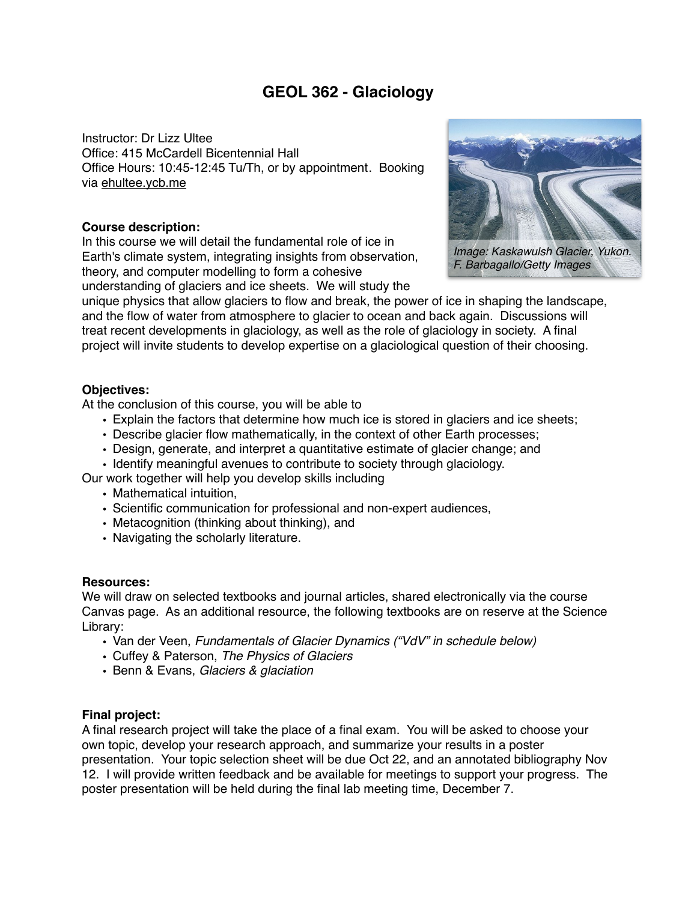# **GEOL 362 - Glaciology**

Instructor: Dr Lizz Ultee Office: 415 McCardell Bicentennial Hall Office Hours: 10:45-12:45 Tu/Th, or by appointment. Booking via [ehultee.ycb.me](http://ehultee.ycb.me)

#### **Course description:**

In this course we will detail the fundamental role of ice in Earth's climate system, integrating insights from observation, theory, and computer modelling to form a cohesive understanding of glaciers and ice sheets. We will study the



*Image: Kaskawulsh Glacier, Yukon. F. Barbagallo/Getty Images*

unique physics that allow glaciers to flow and break, the power of ice in shaping the landscape, and the flow of water from atmosphere to glacier to ocean and back again. Discussions will treat recent developments in glaciology, as well as the role of glaciology in society. A final project will invite students to develop expertise on a glaciological question of their choosing.

## **Objectives:**

At the conclusion of this course, you will be able to

- Explain the factors that determine how much ice is stored in glaciers and ice sheets;
- Describe glacier flow mathematically, in the context of other Earth processes;
- Design, generate, and interpret a quantitative estimate of glacier change; and
- Identify meaningful avenues to contribute to society through glaciology.

Our work together will help you develop skills including

- Mathematical intuition,
- Scientific communication for professional and non-expert audiences,
- Metacognition (thinking about thinking), and
- Navigating the scholarly literature.

#### **Resources:**

We will draw on selected textbooks and journal articles, shared electronically via the course Canvas page. As an additional resource, the following textbooks are on reserve at the Science Library:

- Van der Veen, *Fundamentals of Glacier Dynamics ("VdV" in schedule below)*
- Cuffey & Paterson, *The Physics of Glaciers*
- Benn & Evans, *Glaciers & glaciation*

## **Final project:**

A final research project will take the place of a final exam. You will be asked to choose your own topic, develop your research approach, and summarize your results in a poster presentation. Your topic selection sheet will be due Oct 22, and an annotated bibliography Nov 12. I will provide written feedback and be available for meetings to support your progress. The poster presentation will be held during the final lab meeting time, December 7.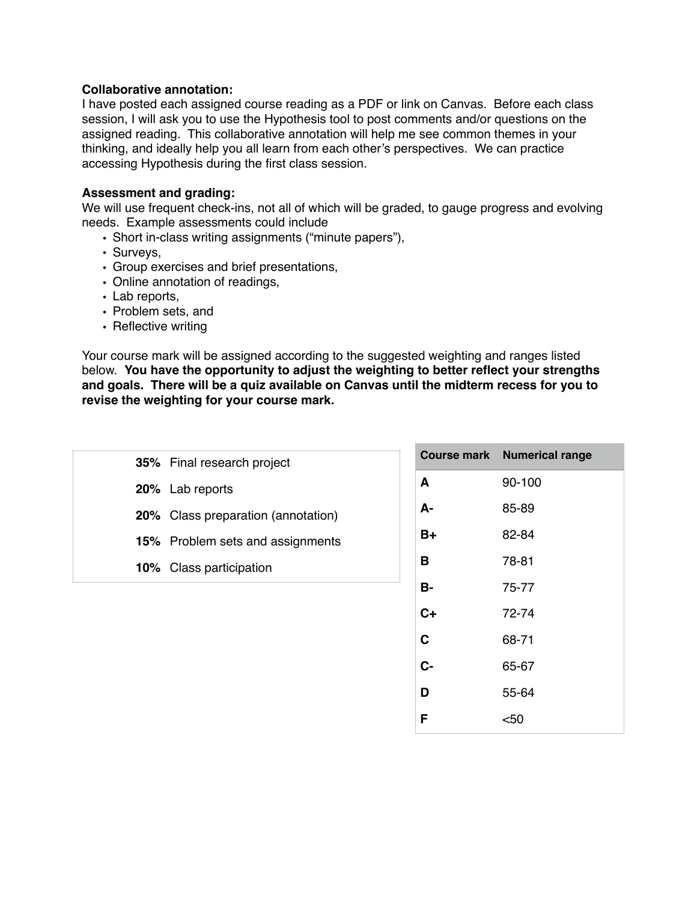#### **Collaborative annotation:**

I have posted each assigned course reading as a PDF or link on Canvas. Before each class session, I will ask you to use the Hypothesis tool to post comments and/or questions on the assigned reading. This collaborative annotation will help me see common themes in your thinking, and ideally help you all learn from each other's perspectives. We can practice accessing Hypothesis during the first class session.

#### **Assessment and grading:**

We will use frequent check-ins, not all of which will be graded, to gauge progress and evolving needs. Example assessments could include

- Short in-class writing assignments ("minute papers"),
- Surveys,
- Group exercises and brief presentations,
- Online annotation of readings,
- Lab reports,
- Problem sets, and
- Reflective writing

Your course mark will be assigned according to the suggested weighting and ranges listed below. **You have the opportunity to adjust the weighting to better reflect your strengths and goals. There will be a quiz available on Canvas until the midterm recess for you to revise the weighting for your course mark.**

| 35% Final research project         |           | <b>Course mark Numerical range</b> |
|------------------------------------|-----------|------------------------------------|
| 20% Lab reports                    | A         | 90-100                             |
| 20% Class preparation (annotation) | А-        | 85-89                              |
| 15% Problem sets and assignments   | $B+$      | 82-84                              |
| 10% Class participation            | B         | 78-81                              |
|                                    | <b>B-</b> | 75-77                              |
|                                    | $C+$      | 72-74                              |
|                                    | C         | 68-71                              |
|                                    | $C -$     | 65-67                              |
|                                    | D         | 55-64                              |
|                                    | F         | $50$                               |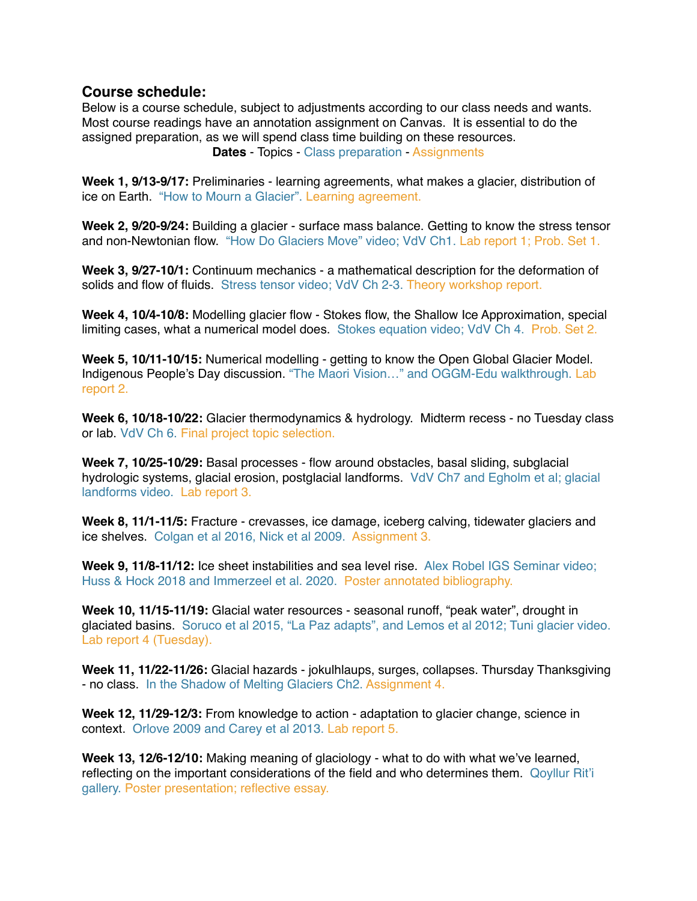## **Course schedule:**

Below is a course schedule, subject to adjustments according to our class needs and wants. Most course readings have an annotation assignment on Canvas. It is essential to do the assigned preparation, as we will spend class time building on these resources. **Dates** - Topics - Class preparation - Assignments

**Week 1, 9/13-9/17:** Preliminaries - learning agreements, what makes a glacier, distribution of ice on Earth. "How to Mourn a Glacier". Learning agreement.

**Week 2, 9/20-9/24:** Building a glacier - surface mass balance. Getting to know the stress tensor and non-Newtonian flow. "How Do Glaciers Move" video; VdV Ch1. Lab report 1; Prob. Set 1.

**Week 3, 9/27-10/1:** Continuum mechanics - a mathematical description for the deformation of solids and flow of fluids. Stress tensor video; VdV Ch 2-3. Theory workshop report.

**Week 4, 10/4-10/8:** Modelling glacier flow - Stokes flow, the Shallow Ice Approximation, special limiting cases, what a numerical model does. Stokes equation video; VdV Ch 4. Prob. Set 2.

**Week 5, 10/11-10/15:** Numerical modelling - getting to know the Open Global Glacier Model. Indigenous People's Day discussion. "The Maori Vision…" and OGGM-Edu walkthrough. Lab report 2.

**Week 6, 10/18-10/22:** Glacier thermodynamics & hydrology. Midterm recess - no Tuesday class or lab. VdV Ch 6. Final project topic selection.

**Week 7, 10/25-10/29:** Basal processes - flow around obstacles, basal sliding, subglacial hydrologic systems, glacial erosion, postglacial landforms. VdV Ch7 and Egholm et al; glacial landforms video. Lab report 3.

**Week 8, 11/1-11/5:** Fracture - crevasses, ice damage, iceberg calving, tidewater glaciers and ice shelves. Colgan et al 2016, Nick et al 2009. Assignment 3.

**Week 9, 11/8-11/12:** Ice sheet instabilities and sea level rise. Alex Robel IGS Seminar video; Huss & Hock 2018 and Immerzeel et al. 2020. Poster annotated bibliography.

**Week 10, 11/15-11/19:** Glacial water resources - seasonal runoff, "peak water", drought in glaciated basins. Soruco et al 2015, "La Paz adapts", and Lemos et al 2012; Tuni glacier video. Lab report 4 (Tuesday).

**Week 11, 11/22-11/26:** Glacial hazards - jokulhlaups, surges, collapses. Thursday Thanksgiving - no class. In the Shadow of Melting Glaciers Ch2. Assignment 4.

**Week 12, 11/29-12/3:** From knowledge to action - adaptation to glacier change, science in context. Orlove 2009 and Carey et al 2013. Lab report 5.

**Week 13, 12/6-12/10:** Making meaning of glaciology - what to do with what we've learned, reflecting on the important considerations of the field and who determines them. Qoyllur Rit'i gallery. Poster presentation; reflective essay.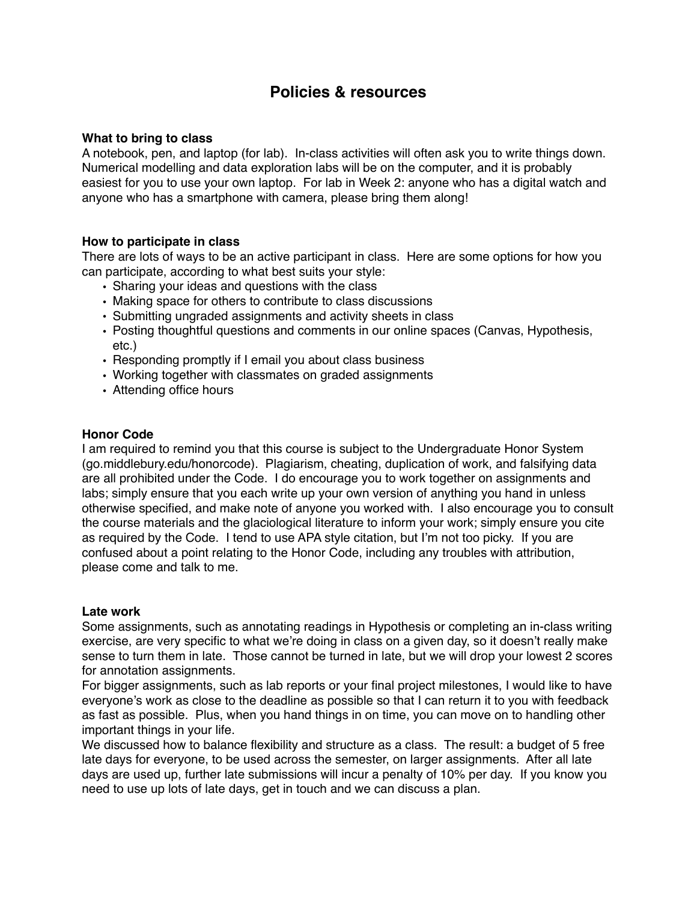## **Policies & resources**

#### **What to bring to class**

A notebook, pen, and laptop (for lab). In-class activities will often ask you to write things down. Numerical modelling and data exploration labs will be on the computer, and it is probably easiest for you to use your own laptop. For lab in Week 2: anyone who has a digital watch and anyone who has a smartphone with camera, please bring them along!

#### **How to participate in class**

There are lots of ways to be an active participant in class. Here are some options for how you can participate, according to what best suits your style:

- Sharing your ideas and questions with the class
- Making space for others to contribute to class discussions
- Submitting ungraded assignments and activity sheets in class
- Posting thoughtful questions and comments in our online spaces (Canvas, Hypothesis, etc.)
- Responding promptly if I email you about class business
- Working together with classmates on graded assignments
- Attending office hours

#### **Honor Code**

I am required to remind you that this course is subject to the Undergraduate Honor System (go.middlebury.edu/honorcode). Plagiarism, cheating, duplication of work, and falsifying data are all prohibited under the Code. I do encourage you to work together on assignments and labs; simply ensure that you each write up your own version of anything you hand in unless otherwise specified, and make note of anyone you worked with. I also encourage you to consult the course materials and the glaciological literature to inform your work; simply ensure you cite as required by the Code. I tend to use APA style citation, but I'm not too picky. If you are confused about a point relating to the Honor Code, including any troubles with attribution, please come and talk to me.

#### **Late work**

Some assignments, such as annotating readings in Hypothesis or completing an in-class writing exercise, are very specific to what we're doing in class on a given day, so it doesn't really make sense to turn them in late. Those cannot be turned in late, but we will drop your lowest 2 scores for annotation assignments.

For bigger assignments, such as lab reports or your final project milestones, I would like to have everyone's work as close to the deadline as possible so that I can return it to you with feedback as fast as possible. Plus, when you hand things in on time, you can move on to handling other important things in your life.

We discussed how to balance flexibility and structure as a class. The result: a budget of 5 free late days for everyone, to be used across the semester, on larger assignments. After all late days are used up, further late submissions will incur a penalty of 10% per day. If you know you need to use up lots of late days, get in touch and we can discuss a plan.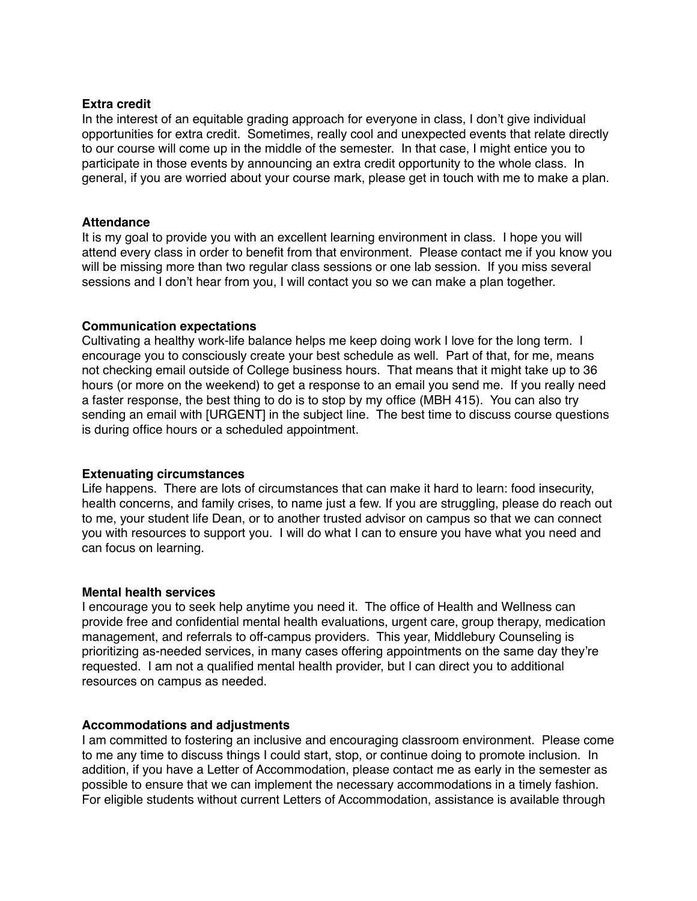#### **Extra credit**

In the interest of an equitable grading approach for everyone in class, I don't give individual opportunities for extra credit. Sometimes, really cool and unexpected events that relate directly to our course will come up in the middle of the semester. In that case, I might entice you to participate in those events by announcing an extra credit opportunity to the whole class. In general, if you are worried about your course mark, please get in touch with me to make a plan.

#### **Attendance**

It is my goal to provide you with an excellent learning environment in class. I hope you will attend every class in order to benefit from that environment. Please contact me if you know you will be missing more than two regular class sessions or one lab session. If you miss several sessions and I don't hear from you, I will contact you so we can make a plan together.

#### **Communication expectations**

Cultivating a healthy work-life balance helps me keep doing work I love for the long term. I encourage you to consciously create your best schedule as well. Part of that, for me, means not checking email outside of College business hours. That means that it might take up to 36 hours (or more on the weekend) to get a response to an email you send me. If you really need a faster response, the best thing to do is to stop by my office (MBH 415). You can also try sending an email with [URGENT] in the subject line. The best time to discuss course questions is during office hours or a scheduled appointment.

#### **Extenuating circumstances**

Life happens. There are lots of circumstances that can make it hard to learn: food insecurity, health concerns, and family crises, to name just a few. If you are struggling, please do reach out to me, your student life Dean, or to another trusted advisor on campus so that we can connect you with resources to support you. I will do what I can to ensure you have what you need and can focus on learning.

#### **Mental health services**

I encourage you to seek help anytime you need it. The office of Health and Wellness can provide free and confidential mental health evaluations, urgent care, group therapy, medication management, and referrals to off-campus providers. This year, Middlebury Counseling is prioritizing as-needed services, in many cases offering appointments on the same day they're requested. I am not a qualified mental health provider, but I can direct you to additional resources on campus as needed.

## **Accommodations and adjustments**

I am committed to fostering an inclusive and encouraging classroom environment. Please come to me any time to discuss things I could start, stop, or continue doing to promote inclusion. In addition, if you have a Letter of Accommodation, please contact me as early in the semester as possible to ensure that we can implement the necessary accommodations in a timely fashion. For eligible students without current Letters of Accommodation, assistance is available through